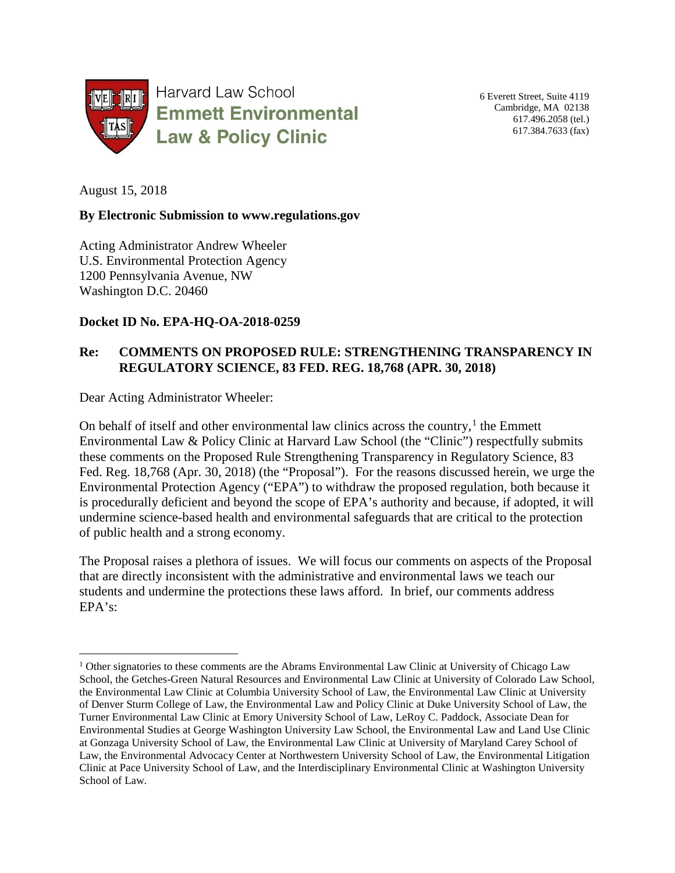

6 Everett Street, Suite 4119 Cambridge, MA 02138 617.496.2058 (tel.) 617.384.7633 (fax)

August 15, 2018

#### **By Electronic Submission to www.regulations.gov**

Acting Administrator Andrew Wheeler U.S. Environmental Protection Agency 1200 Pennsylvania Avenue, NW Washington D.C. 20460

#### **Docket ID No. EPA-HQ-OA-2018-0259**

#### **Re: COMMENTS ON PROPOSED RULE: STRENGTHENING TRANSPARENCY IN REGULATORY SCIENCE, 83 FED. REG. 18,768 (APR. 30, 2018)**

Dear Acting Administrator Wheeler:

On behalf of itself and other environmental law clinics across the country, $<sup>1</sup>$  $<sup>1</sup>$  $<sup>1</sup>$  the Emmett</sup> Environmental Law & Policy Clinic at Harvard Law School (the "Clinic") respectfully submits these comments on the Proposed Rule Strengthening Transparency in Regulatory Science, 83 Fed. Reg. 18,768 (Apr. 30, 2018) (the "Proposal"). For the reasons discussed herein, we urge the Environmental Protection Agency ("EPA") to withdraw the proposed regulation, both because it is procedurally deficient and beyond the scope of EPA's authority and because, if adopted, it will undermine science-based health and environmental safeguards that are critical to the protection of public health and a strong economy.

The Proposal raises a plethora of issues. We will focus our comments on aspects of the Proposal that are directly inconsistent with the administrative and environmental laws we teach our students and undermine the protections these laws afford. In brief, our comments address EPA's:

<span id="page-0-0"></span><sup>&</sup>lt;sup>1</sup> Other signatories to these comments are the Abrams Environmental Law Clinic at University of Chicago Law School, the Getches-Green Natural Resources and Environmental Law Clinic at University of Colorado Law School, the Environmental Law Clinic at Columbia University School of Law, the Environmental Law Clinic at University of Denver Sturm College of Law, the Environmental Law and Policy Clinic at Duke University School of Law, the Turner Environmental Law Clinic at Emory University School of Law, LeRoy C. Paddock, Associate Dean for Environmental Studies at George Washington University Law School, the Environmental Law and Land Use Clinic at Gonzaga University School of Law, the Environmental Law Clinic at University of Maryland Carey School of Law, the Environmental Advocacy Center at Northwestern University School of Law, the Environmental Litigation Clinic at Pace University School of Law, and the Interdisciplinary Environmental Clinic at Washington University School of Law.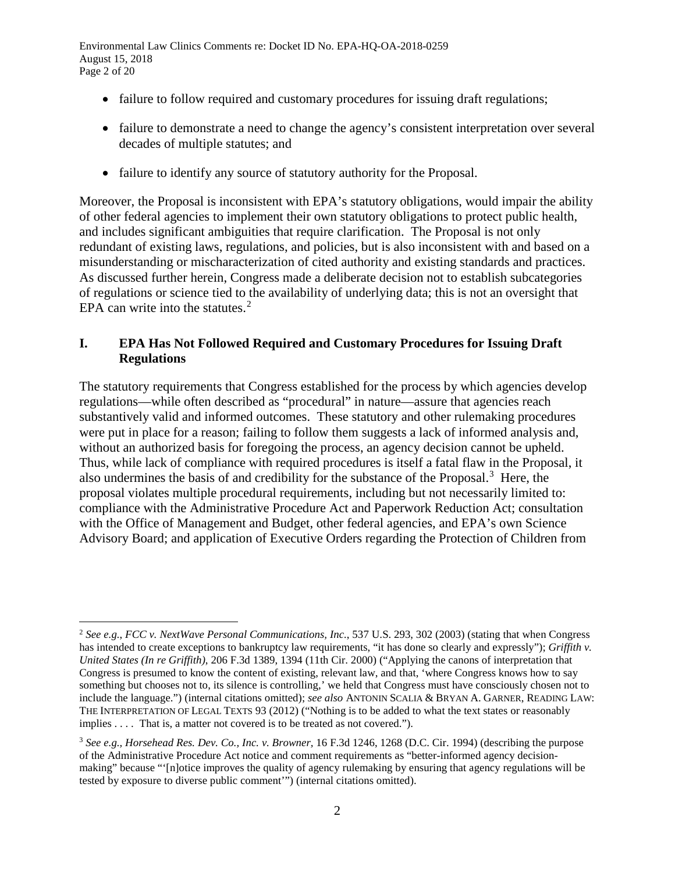Environmental Law Clinics Comments re: Docket ID No. EPA-HQ-OA-2018-0259 August 15, 2018 Page 2 of 20

- failure to follow required and customary procedures for issuing draft regulations;
- failure to demonstrate a need to change the agency's consistent interpretation over several decades of multiple statutes; and
- failure to identify any source of statutory authority for the Proposal.

Moreover, the Proposal is inconsistent with EPA's statutory obligations, would impair the ability of other federal agencies to implement their own statutory obligations to protect public health, and includes significant ambiguities that require clarification. The Proposal is not only redundant of existing laws, regulations, and policies, but is also inconsistent with and based on a misunderstanding or mischaracterization of cited authority and existing standards and practices. As discussed further herein, Congress made a deliberate decision not to establish subcategories of regulations or science tied to the availability of underlying data; this is not an oversight that EPA can write into the statutes. $2$ 

## <span id="page-1-2"></span>**I. EPA Has Not Followed Required and Customary Procedures for Issuing Draft Regulations**

The statutory requirements that Congress established for the process by which agencies develop regulations—while often described as "procedural" in nature—assure that agencies reach substantively valid and informed outcomes. These statutory and other rulemaking procedures were put in place for a reason; failing to follow them suggests a lack of informed analysis and, without an authorized basis for foregoing the process, an agency decision cannot be upheld. Thus, while lack of compliance with required procedures is itself a fatal flaw in the Proposal, it also undermines the basis of and credibility for the substance of the Proposal.<sup>[3](#page-1-1)</sup> Here, the proposal violates multiple procedural requirements, including but not necessarily limited to: compliance with the Administrative Procedure Act and Paperwork Reduction Act; consultation with the Office of Management and Budget, other federal agencies, and EPA's own Science Advisory Board; and application of Executive Orders regarding the Protection of Children from

<span id="page-1-0"></span> <sup>2</sup> *See e.g.*, *FCC v. NextWave Personal Communications, Inc.*, 537 U.S. 293, 302 (2003) (stating that when Congress has intended to create exceptions to bankruptcy law requirements, "it has done so clearly and expressly"); *Griffith v. United States (In re Griffith)*, 206 F.3d 1389, 1394 (11th Cir. 2000) ("Applying the canons of interpretation that Congress is presumed to know the content of existing, relevant law, and that, 'where Congress knows how to say something but chooses not to, its silence is controlling,' we held that Congress must have consciously chosen not to include the language.") (internal citations omitted); *see also* ANTONIN SCALIA & BRYAN A. GARNER, READING LAW: THE INTERPRETATION OF LEGAL TEXTS 93 (2012) ("Nothing is to be added to what the text states or reasonably implies . . . . That is, a matter not covered is to be treated as not covered.").

<span id="page-1-1"></span><sup>3</sup> *See e.g., Horsehead Res. Dev. Co., Inc. v. Browner,* 16 F.3d 1246, 1268 (D.C. Cir. 1994) (describing the purpose of the Administrative Procedure Act notice and comment requirements as "better-informed agency decisionmaking" because "'[n]otice improves the quality of agency rulemaking by ensuring that agency regulations will be tested by exposure to diverse public comment'") (internal citations omitted).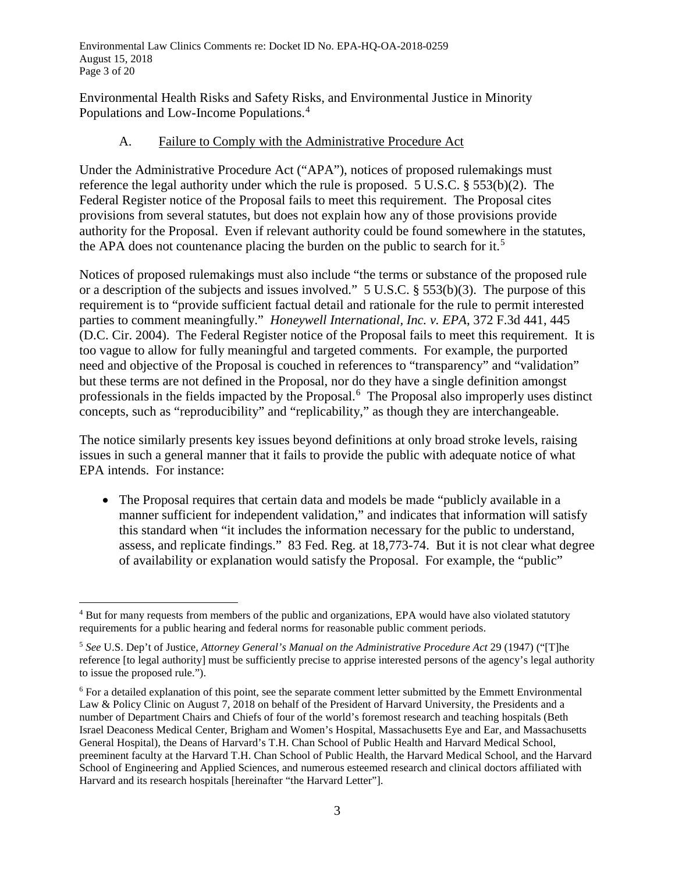Environmental Law Clinics Comments re: Docket ID No. EPA-HQ-OA-2018-0259 August 15, 2018 Page 3 of 20

Environmental Health Risks and Safety Risks, and Environmental Justice in Minority Populations and Low-Income Populations.[4](#page-2-0)

#### A. Failure to Comply with the Administrative Procedure Act

Under the Administrative Procedure Act ("APA"), notices of proposed rulemakings must reference the legal authority under which the rule is proposed. 5 U.S.C. § 553(b)(2). The Federal Register notice of the Proposal fails to meet this requirement. The Proposal cites provisions from several statutes, but does not explain how any of those provisions provide authority for the Proposal. Even if relevant authority could be found somewhere in the statutes, the APA does not countenance placing the burden on the public to search for it.<sup>[5](#page-2-1)</sup>

Notices of proposed rulemakings must also include "the terms or substance of the proposed rule or a description of the subjects and issues involved." 5 U.S.C. § 553(b)(3). The purpose of this requirement is to "provide sufficient factual detail and rationale for the rule to permit interested parties to comment meaningfully." *Honeywell International, Inc. v. EPA*, 372 F.3d 441, 445 (D.C. Cir. 2004). The Federal Register notice of the Proposal fails to meet this requirement. It is too vague to allow for fully meaningful and targeted comments. For example, the purported need and objective of the Proposal is couched in references to "transparency" and "validation" but these terms are not defined in the Proposal, nor do they have a single definition amongst professionals in the fields impacted by the Proposal.[6](#page-2-2) The Proposal also improperly uses distinct concepts, such as "reproducibility" and "replicability," as though they are interchangeable.

The notice similarly presents key issues beyond definitions at only broad stroke levels, raising issues in such a general manner that it fails to provide the public with adequate notice of what EPA intends. For instance:

<span id="page-2-3"></span>• The Proposal requires that certain data and models be made "publicly available in a manner sufficient for independent validation," and indicates that information will satisfy this standard when "it includes the information necessary for the public to understand, assess, and replicate findings." 83 Fed. Reg. at 18,773-74. But it is not clear what degree of availability or explanation would satisfy the Proposal. For example, the "public"

<span id="page-2-0"></span> <sup>4</sup> But for many requests from members of the public and organizations, EPA would have also violated statutory requirements for a public hearing and federal norms for reasonable public comment periods.

<span id="page-2-1"></span><sup>5</sup> *See* U.S. Dep't of Justice, *Attorney General's Manual on the Administrative Procedure Act* 29 (1947) ("[T]he reference [to legal authority] must be sufficiently precise to apprise interested persons of the agency's legal authority to issue the proposed rule.").

<span id="page-2-2"></span><sup>&</sup>lt;sup>6</sup> For a detailed explanation of this point, see the separate comment letter submitted by the Emmett Environmental Law & Policy Clinic on August 7, 2018 on behalf of the President of Harvard University, the Presidents and a number of Department Chairs and Chiefs of four of the world's foremost research and teaching hospitals (Beth Israel Deaconess Medical Center, Brigham and Women's Hospital, Massachusetts Eye and Ear, and Massachusetts General Hospital), the Deans of Harvard's T.H. Chan School of Public Health and Harvard Medical School, preeminent faculty at the Harvard T.H. Chan School of Public Health, the Harvard Medical School, and the Harvard School of Engineering and Applied Sciences, and numerous esteemed research and clinical doctors affiliated with Harvard and its research hospitals [hereinafter "the Harvard Letter"].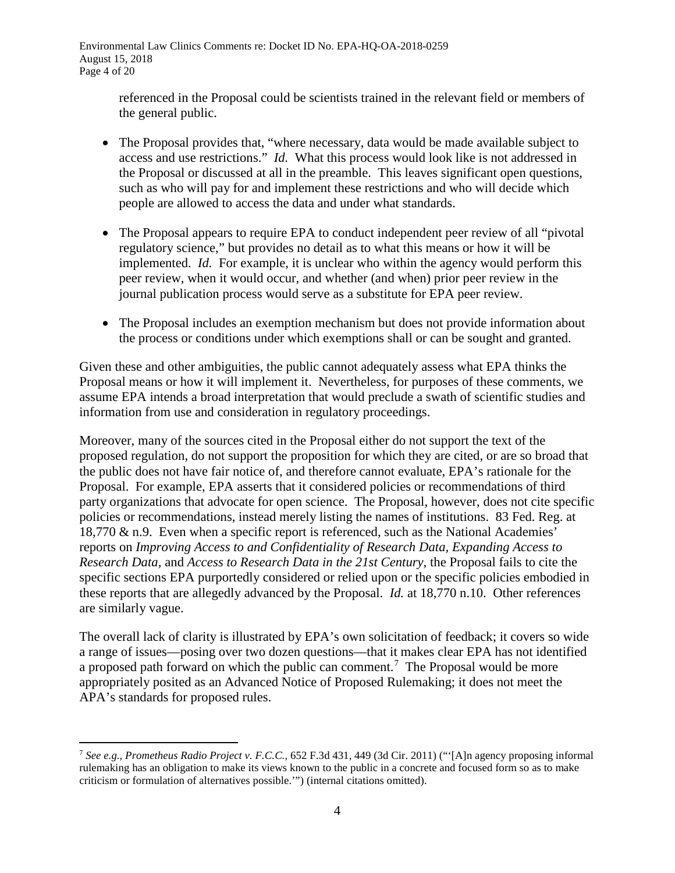Environmental Law Clinics Comments re: Docket ID No. EPA-HQ-OA-2018-0259 August 15, 2018 Page 4 of 20

> referenced in the Proposal could be scientists trained in the relevant field or members of the general public.

- The Proposal provides that, "where necessary, data would be made available subject to access and use restrictions." *Id.* What this process would look like is not addressed in the Proposal or discussed at all in the preamble. This leaves significant open questions, such as who will pay for and implement these restrictions and who will decide which people are allowed to access the data and under what standards.
- The Proposal appears to require EPA to conduct independent peer review of all "pivotal" regulatory science," but provides no detail as to what this means or how it will be implemented. *Id.* For example, it is unclear who within the agency would perform this peer review, when it would occur, and whether (and when) prior peer review in the journal publication process would serve as a substitute for EPA peer review.
- The Proposal includes an exemption mechanism but does not provide information about the process or conditions under which exemptions shall or can be sought and granted.

Given these and other ambiguities, the public cannot adequately assess what EPA thinks the Proposal means or how it will implement it. Nevertheless, for purposes of these comments, we assume EPA intends a broad interpretation that would preclude a swath of scientific studies and information from use and consideration in regulatory proceedings.

Moreover, many of the sources cited in the Proposal either do not support the text of the proposed regulation, do not support the proposition for which they are cited, or are so broad that the public does not have fair notice of, and therefore cannot evaluate, EPA's rationale for the Proposal. For example, EPA asserts that it considered policies or recommendations of third party organizations that advocate for open science. The Proposal, however, does not cite specific policies or recommendations, instead merely listing the names of institutions. 83 Fed. Reg. at 18,770 & n.9. Even when a specific report is referenced, such as the National Academies' reports on *Improving Access to and Confidentiality of Research Data, Expanding Access to Research Data,* and *Access to Research Data in the 21st Century*, the Proposal fails to cite the specific sections EPA purportedly considered or relied upon or the specific policies embodied in these reports that are allegedly advanced by the Proposal. *Id.* at 18,770 n.10. Other references are similarly vague.

The overall lack of clarity is illustrated by EPA's own solicitation of feedback; it covers so wide a range of issues—posing over two dozen questions—that it makes clear EPA has not identified a proposed path forward on which the public can comment.[7](#page-3-0) The Proposal would be more appropriately posited as an Advanced Notice of Proposed Rulemaking; it does not meet the APA's standards for proposed rules.

<span id="page-3-0"></span> <sup>7</sup> *See e.g.*, *Prometheus Radio Project v. F.C.C.,* 652 F.3d 431, 449 (3d Cir. 2011) ("'[A]n agency proposing informal rulemaking has an obligation to make its views known to the public in a concrete and focused form so as to make criticism or formulation of alternatives possible.'") (internal citations omitted).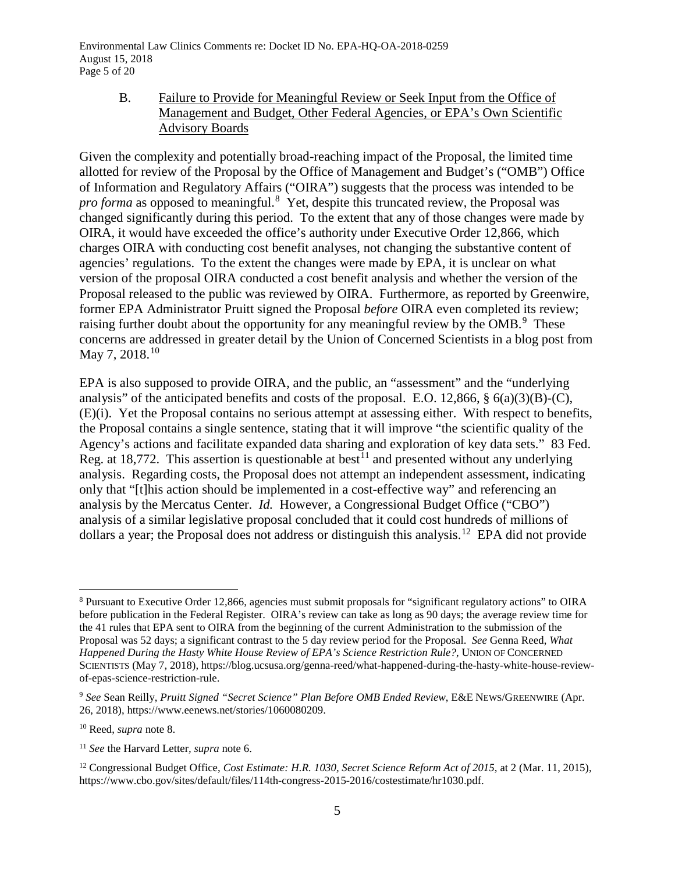Environmental Law Clinics Comments re: Docket ID No. EPA-HQ-OA-2018-0259 August 15, 2018 Page 5 of 20

#### <span id="page-4-0"></span>B. Failure to Provide for Meaningful Review or Seek Input from the Office of Management and Budget, Other Federal Agencies, or EPA's Own Scientific Advisory Boards

Given the complexity and potentially broad-reaching impact of the Proposal, the limited time allotted for review of the Proposal by the Office of Management and Budget's ("OMB") Office of Information and Regulatory Affairs ("OIRA") suggests that the process was intended to be pro forma as opposed to meaningful.<sup>[8](#page-4-1)</sup> Yet, despite this truncated review, the Proposal was changed significantly during this period. To the extent that any of those changes were made by OIRA, it would have exceeded the office's authority under Executive Order 12,866, which charges OIRA with conducting cost benefit analyses, not changing the substantive content of agencies' regulations. To the extent the changes were made by EPA, it is unclear on what version of the proposal OIRA conducted a cost benefit analysis and whether the version of the Proposal released to the public was reviewed by OIRA. Furthermore, as reported by Greenwire, former EPA Administrator Pruitt signed the Proposal *before* OIRA even completed its review; raising further doubt about the opportunity for any meaningful review by the  $OMB$ .<sup>[9](#page-4-2)</sup> These concerns are addressed in greater detail by the Union of Concerned Scientists in a blog post from May 7, 2018. [10](#page-4-3)

EPA is also supposed to provide OIRA, and the public, an "assessment" and the "underlying analysis" of the anticipated benefits and costs of the proposal. E.O. 12,866, § 6(a)(3)(B)-(C), (E)(i). Yet the Proposal contains no serious attempt at assessing either. With respect to benefits, the Proposal contains a single sentence, stating that it will improve "the scientific quality of the Agency's actions and facilitate expanded data sharing and exploration of key data sets." 83 Fed. Reg. at 18,772. This assertion is questionable at best<sup>[11](#page-4-4)</sup> and presented without any underlying analysis. Regarding costs, the Proposal does not attempt an independent assessment, indicating only that "[t]his action should be implemented in a cost-effective way" and referencing an analysis by the Mercatus Center. *Id.* However, a Congressional Budget Office ("CBO") analysis of a similar legislative proposal concluded that it could cost hundreds of millions of dollars a year; the Proposal does not address or distinguish this analysis.<sup>[12](#page-4-5)</sup> EPA did not provide

<span id="page-4-1"></span> <sup>8</sup> Pursuant to Executive Order 12,866, agencies must submit proposals for "significant regulatory actions" to OIRA before publication in the Federal Register. OIRA's review can take as long as 90 days; the average review time for the 41 rules that EPA sent to OIRA from the beginning of the current Administration to the submission of the Proposal was 52 days; a significant contrast to the 5 day review period for the Proposal. *See* Genna Reed, *What Happened During the Hasty White House Review of EPA's Science Restriction Rule?*, UNION OF CONCERNED SCIENTISTS (May 7, 2018), https://blog.ucsusa.org/genna-reed/what-happened-during-the-hasty-white-house-reviewof-epas-science-restriction-rule.

<span id="page-4-2"></span><sup>9</sup> *See* Sean Reilly, *Pruitt Signed "Secret Science" Plan Before OMB Ended Review*, E&E NEWS/GREENWIRE (Apr. 26, 2018), https://www.eenews.net/stories/1060080209.

<span id="page-4-3"></span><sup>10</sup> Reed, *supra* not[e 8.](#page-4-0)

<span id="page-4-4"></span><sup>11</sup> *See* the Harvard Letter*, supra* note [6.](#page-2-3)

<span id="page-4-5"></span><sup>&</sup>lt;sup>12</sup> Congressional Budget Office, *Cost Estimate: H.R. 1030, Secret Science Reform Act of 2015*, at 2 (Mar. 11, 2015), https://www.cbo.gov/sites/default/files/114th-congress-2015-2016/costestimate/hr1030.pdf.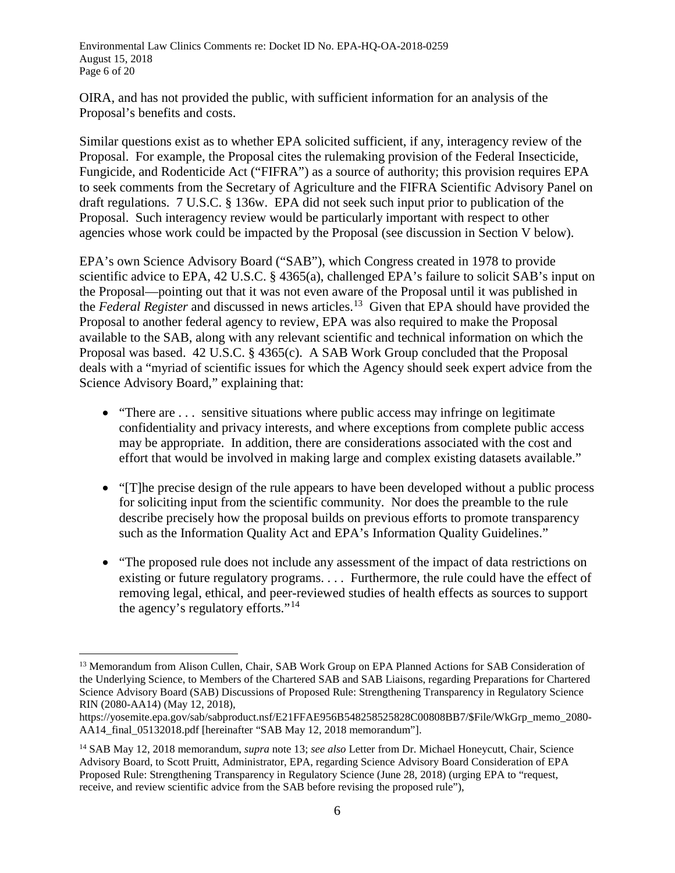Environmental Law Clinics Comments re: Docket ID No. EPA-HQ-OA-2018-0259 August 15, 2018 Page 6 of 20

OIRA, and has not provided the public, with sufficient information for an analysis of the Proposal's benefits and costs.

Similar questions exist as to whether EPA solicited sufficient, if any, interagency review of the Proposal. For example, the Proposal cites the rulemaking provision of the Federal Insecticide, Fungicide, and Rodenticide Act ("FIFRA") as a source of authority; this provision requires EPA to seek comments from the Secretary of Agriculture and the FIFRA Scientific Advisory Panel on draft regulations. 7 U.S.C. § 136w. EPA did not seek such input prior to publication of the Proposal. Such interagency review would be particularly important with respect to other agencies whose work could be impacted by the Proposal (see discussion in Section V below).

EPA's own Science Advisory Board ("SAB"), which Congress created in 1978 to provide scientific advice to EPA, 42 U.S.C. § 4365(a), challenged EPA's failure to solicit SAB's input on the Proposal—pointing out that it was not even aware of the Proposal until it was published in the *Federal Register* and discussed in news articles.[13](#page-5-1) Given that EPA should have provided the Proposal to another federal agency to review, EPA was also required to make the Proposal available to the SAB, along with any relevant scientific and technical information on which the Proposal was based. 42 U.S.C. § 4365(c). A SAB Work Group concluded that the Proposal deals with a "myriad of scientific issues for which the Agency should seek expert advice from the Science Advisory Board," explaining that:

- <span id="page-5-0"></span>• "There are ... sensitive situations where public access may infringe on legitimate confidentiality and privacy interests, and where exceptions from complete public access may be appropriate. In addition, there are considerations associated with the cost and effort that would be involved in making large and complex existing datasets available."
- "[T]he precise design of the rule appears to have been developed without a public process for soliciting input from the scientific community. Nor does the preamble to the rule describe precisely how the proposal builds on previous efforts to promote transparency such as the Information Quality Act and EPA's Information Quality Guidelines."
- "The proposed rule does not include any assessment of the impact of data restrictions on existing or future regulatory programs. . . . Furthermore, the rule could have the effect of removing legal, ethical, and peer-reviewed studies of health effects as sources to support the agency's regulatory efforts."[14](#page-5-2)

<span id="page-5-1"></span><sup>&</sup>lt;sup>13</sup> Memorandum from Alison Cullen, Chair, SAB Work Group on EPA Planned Actions for SAB Consideration of the Underlying Science, to Members of the Chartered SAB and SAB Liaisons, regarding Preparations for Chartered Science Advisory Board (SAB) Discussions of Proposed Rule: Strengthening Transparency in Regulatory Science RIN (2080-AA14) (May 12, 2018),

https://yosemite.epa.gov/sab/sabproduct.nsf/E21FFAE956B548258525828C00808BB7/\$File/WkGrp\_memo\_2080- AA14\_final\_05132018.pdf [hereinafter "SAB May 12, 2018 memorandum"].

<span id="page-5-2"></span><sup>14</sup> SAB May 12, 2018 memorandum, *supra* note [13;](#page-5-0) *see also* Letter from Dr. Michael Honeycutt, Chair, Science Advisory Board, to Scott Pruitt, Administrator, EPA, regarding Science Advisory Board Consideration of EPA Proposed Rule: Strengthening Transparency in Regulatory Science (June 28, 2018) (urging EPA to "request, receive, and review scientific advice from the SAB before revising the proposed rule"),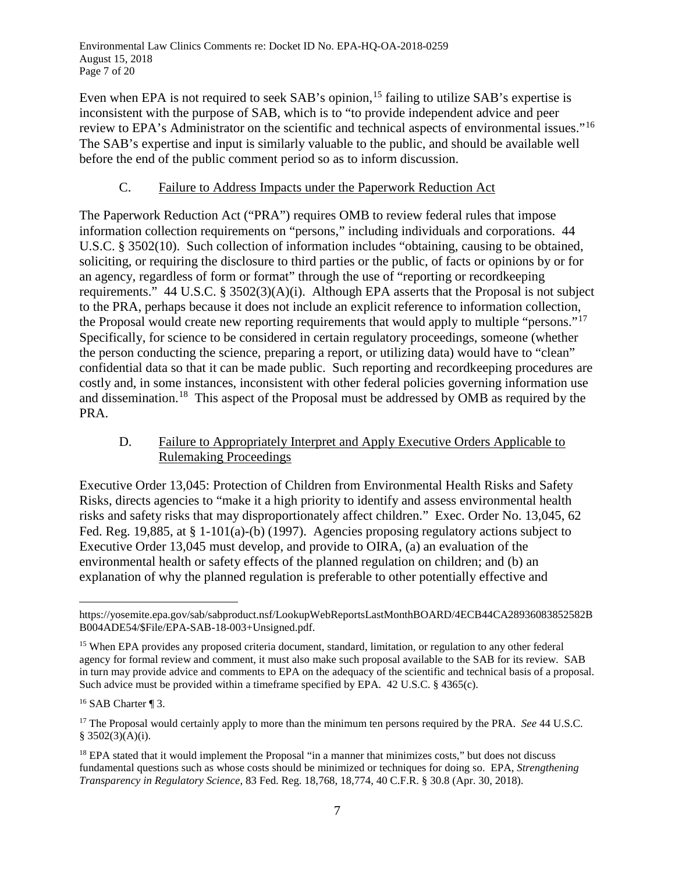Environmental Law Clinics Comments re: Docket ID No. EPA-HQ-OA-2018-0259 August 15, 2018 Page 7 of 20

Even when EPA is not required to seek SAB's opinion,<sup>[15](#page-6-0)</sup> failing to utilize SAB's expertise is inconsistent with the purpose of SAB, which is to "to provide independent advice and peer review to EPA's Administrator on the scientific and technical aspects of environmental issues."[16](#page-6-1) The SAB's expertise and input is similarly valuable to the public, and should be available well before the end of the public comment period so as to inform discussion.

#### C. Failure to Address Impacts under the Paperwork Reduction Act

The Paperwork Reduction Act ("PRA") requires OMB to review federal rules that impose information collection requirements on "persons," including individuals and corporations. 44 U.S.C. § 3502(10). Such collection of information includes "obtaining, causing to be obtained, soliciting, or requiring the disclosure to third parties or the public, of facts or opinions by or for an agency, regardless of form or format" through the use of "reporting or recordkeeping requirements." 44 U.S.C. § 3502(3)(A)(i). Although EPA asserts that the Proposal is not subject to the PRA, perhaps because it does not include an explicit reference to information collection, the Proposal would create new reporting requirements that would apply to multiple "persons."[17](#page-6-2) Specifically, for science to be considered in certain regulatory proceedings, someone (whether the person conducting the science, preparing a report, or utilizing data) would have to "clean" confidential data so that it can be made public. Such reporting and recordkeeping procedures are costly and, in some instances, inconsistent with other federal policies governing information use and dissemination.[18](#page-6-3) This aspect of the Proposal must be addressed by OMB as required by the PRA.

### D. Failure to Appropriately Interpret and Apply Executive Orders Applicable to Rulemaking Proceedings

Executive Order 13,045: Protection of Children from Environmental Health Risks and Safety Risks, directs agencies to "make it a high priority to identify and assess environmental health risks and safety risks that may disproportionately affect children." Exec. Order No. 13,045, 62 Fed. Reg. 19,885, at § 1-101(a)-(b) (1997). Agencies proposing regulatory actions subject to Executive Order 13,045 must develop, and provide to OIRA, (a) an evaluation of the environmental health or safety effects of the planned regulation on children; and (b) an explanation of why the planned regulation is preferable to other potentially effective and

 $\overline{a}$ https://yosemite.epa.gov/sab/sabproduct.nsf/LookupWebReportsLastMonthBOARD/4ECB44CA28936083852582B B004ADE54/\$File/EPA-SAB-18-003+Unsigned.pdf.

<span id="page-6-0"></span><sup>&</sup>lt;sup>15</sup> When EPA provides any proposed criteria document, standard, limitation, or regulation to any other federal agency for formal review and comment, it must also make such proposal available to the SAB for its review. SAB in turn may provide advice and comments to EPA on the adequacy of the scientific and technical basis of a proposal. Such advice must be provided within a timeframe specified by EPA. 42 U.S.C. § 4365(c).

<span id="page-6-1"></span><sup>&</sup>lt;sup>16</sup> SAB Charter ¶ 3.

<span id="page-6-2"></span><sup>&</sup>lt;sup>17</sup> The Proposal would certainly apply to more than the minimum ten persons required by the PRA. *See* 44 U.S.C. § 3502(3)(A)(i).

<span id="page-6-3"></span><sup>&</sup>lt;sup>18</sup> EPA stated that it would implement the Proposal "in a manner that minimizes costs," but does not discuss fundamental questions such as whose costs should be minimized or techniques for doing so. EPA, *Strengthening Transparency in Regulatory Science*, 83 Fed. Reg. 18,768, 18,774, 40 C.F.R. § 30.8 (Apr. 30, 2018).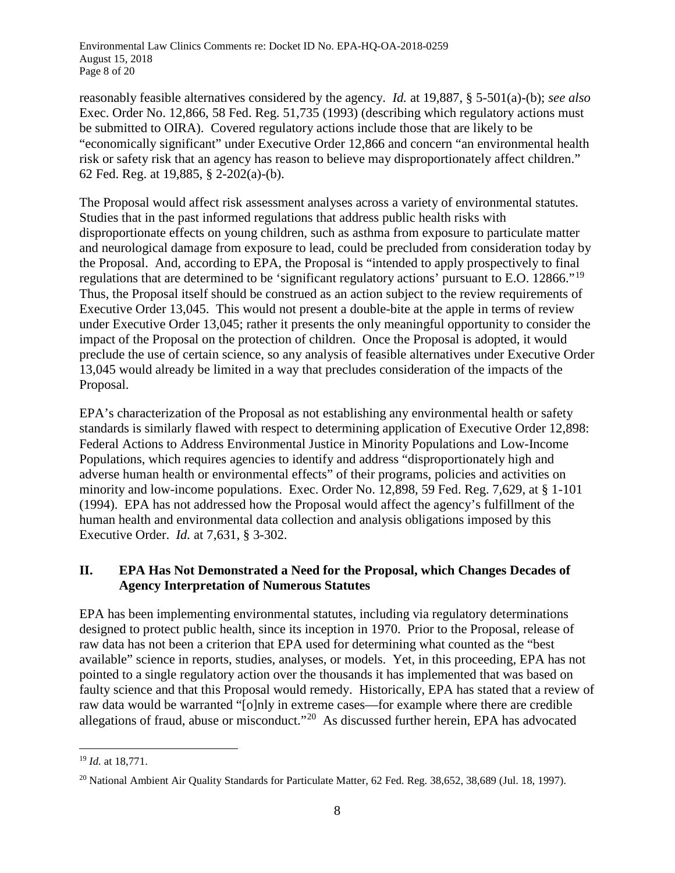Environmental Law Clinics Comments re: Docket ID No. EPA-HQ-OA-2018-0259 August 15, 2018 Page 8 of 20

reasonably feasible alternatives considered by the agency. *Id.* at 19,887, § 5-501(a)-(b); *see also* Exec. Order No. 12,866, 58 Fed. Reg. 51,735 (1993) (describing which regulatory actions must be submitted to OIRA). Covered regulatory actions include those that are likely to be "economically significant" under Executive Order 12,866 and concern "an environmental health risk or safety risk that an agency has reason to believe may disproportionately affect children." 62 Fed. Reg. at 19,885, § 2-202(a)-(b).

The Proposal would affect risk assessment analyses across a variety of environmental statutes. Studies that in the past informed regulations that address public health risks with disproportionate effects on young children, such as asthma from exposure to particulate matter and neurological damage from exposure to lead, could be precluded from consideration today by the Proposal. And, according to EPA, the Proposal is "intended to apply prospectively to final regulations that are determined to be 'significant regulatory actions' pursuant to E.O. 12866."[19](#page-7-0) Thus, the Proposal itself should be construed as an action subject to the review requirements of Executive Order 13,045. This would not present a double-bite at the apple in terms of review under Executive Order 13,045; rather it presents the only meaningful opportunity to consider the impact of the Proposal on the protection of children. Once the Proposal is adopted, it would preclude the use of certain science, so any analysis of feasible alternatives under Executive Order 13,045 would already be limited in a way that precludes consideration of the impacts of the Proposal.

EPA's characterization of the Proposal as not establishing any environmental health or safety standards is similarly flawed with respect to determining application of Executive Order 12,898: Federal Actions to Address Environmental Justice in Minority Populations and Low-Income Populations, which requires agencies to identify and address "disproportionately high and adverse human health or environmental effects" of their programs, policies and activities on minority and low-income populations. Exec. Order No. 12,898, 59 Fed. Reg. 7,629, at § 1-101 (1994). EPA has not addressed how the Proposal would affect the agency's fulfillment of the human health and environmental data collection and analysis obligations imposed by this Executive Order. *Id.* at 7,631, § 3-302.

### **II. EPA Has Not Demonstrated a Need for the Proposal, which Changes Decades of Agency Interpretation of Numerous Statutes**

EPA has been implementing environmental statutes, including via regulatory determinations designed to protect public health, since its inception in 1970. Prior to the Proposal, release of raw data has not been a criterion that EPA used for determining what counted as the "best available" science in reports, studies, analyses, or models. Yet, in this proceeding, EPA has not pointed to a single regulatory action over the thousands it has implemented that was based on faulty science and that this Proposal would remedy. Historically, EPA has stated that a review of raw data would be warranted "[o]nly in extreme cases—for example where there are credible allegations of fraud, abuse or misconduct."<sup>20</sup> As discussed further herein, EPA has advocated

<span id="page-7-0"></span> <sup>19</sup> *Id.* at 18,771.

<span id="page-7-1"></span><sup>&</sup>lt;sup>20</sup> National Ambient Air Quality Standards for Particulate Matter, 62 Fed. Reg. 38,652, 38,689 (Jul. 18, 1997).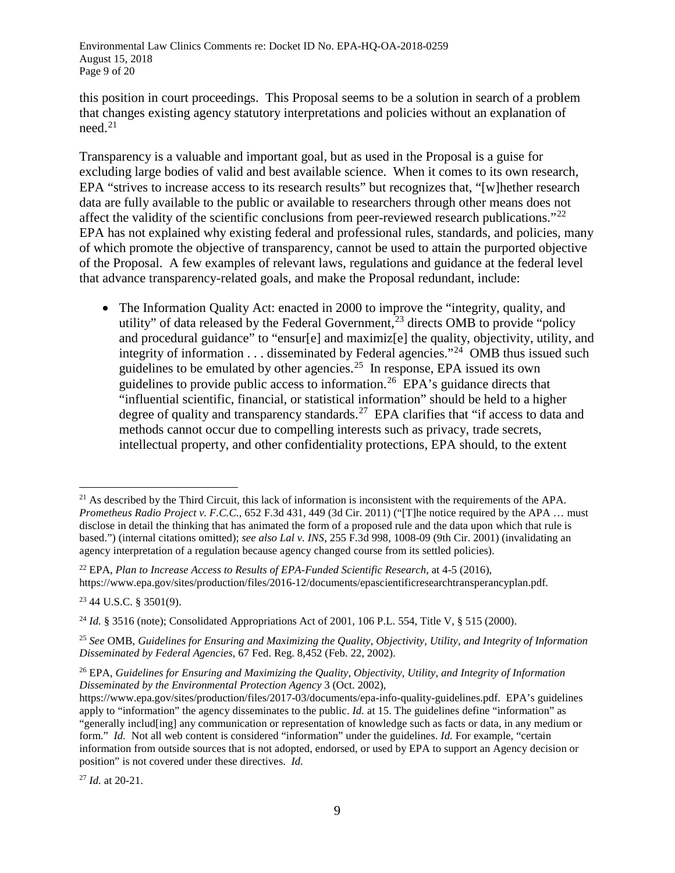this position in court proceedings. This Proposal seems to be a solution in search of a problem that changes existing agency statutory interpretations and policies without an explanation of  $need.<sup>21</sup>$  $need.<sup>21</sup>$  $need.<sup>21</sup>$ 

Transparency is a valuable and important goal, but as used in the Proposal is a guise for excluding large bodies of valid and best available science. When it comes to its own research, EPA "strives to increase access to its research results" but recognizes that, "[w]hether research data are fully available to the public or available to researchers through other means does not affect the validity of the scientific conclusions from peer-reviewed research publications."<sup>22</sup> EPA has not explained why existing federal and professional rules, standards, and policies, many of which promote the objective of transparency, cannot be used to attain the purported objective of the Proposal. A few examples of relevant laws, regulations and guidance at the federal level that advance transparency-related goals, and make the Proposal redundant, include:

• The Information Quality Act: enacted in 2000 to improve the "integrity, quality, and utility" of data released by the Federal Government,  $^{23}$  $^{23}$  $^{23}$  directs OMB to provide "policy" and procedural guidance" to "ensur[e] and maximiz[e] the quality, objectivity, utility, and integrity of information  $\dots$  disseminated by Federal agencies."<sup>[24](#page-8-3)</sup> OMB thus issued such guidelines to be emulated by other agencies.[25](#page-8-4) In response, EPA issued its own guidelines to provide public access to information.<sup>[26](#page-8-5)</sup> EPA's guidance directs that "influential scientific, financial, or statistical information" should be held to a higher degree of quality and transparency standards.<sup>[27](#page-8-6)</sup> EPA clarifies that "if access to data and methods cannot occur due to compelling interests such as privacy, trade secrets, intellectual property, and other confidentiality protections, EPA should, to the extent

<span id="page-8-2"></span><sup>23</sup> 44 U.S.C. § 3501(9).

<span id="page-8-6"></span><sup>27</sup> *Id.* at 20-21.

<span id="page-8-0"></span><sup>&</sup>lt;sup>21</sup> As described by the Third Circuit, this lack of information is inconsistent with the requirements of the APA. *Prometheus Radio Project v. F.C.C.*, 652 F.3d 431, 449 (3d Cir. 2011) ("[T]he notice required by the APA ... must disclose in detail the thinking that has animated the form of a proposed rule and the data upon which that rule is based.") (internal citations omitted); *see also Lal v. INS*, 255 F.3d 998, 1008-09 (9th Cir. 2001) (invalidating an agency interpretation of a regulation because agency changed course from its settled policies).

<span id="page-8-1"></span><sup>22</sup> EPA, *Plan to Increase Access to Results of EPA-Funded Scientific Research*, at 4-5 (2016), https://www.epa.gov/sites/production/files/2016-12/documents/epascientificresearchtransperancyplan.pdf.

<span id="page-8-3"></span><sup>&</sup>lt;sup>24</sup> *Id.* § 3516 (note); Consolidated Appropriations Act of 2001, 106 P.L. 554, Title V, § 515 (2000).

<span id="page-8-4"></span><sup>25</sup> *See* OMB, *Guidelines for Ensuring and Maximizing the Quality, Objectivity, Utility, and Integrity of Information Disseminated by Federal Agencies*, 67 Fed. Reg. 8,452 (Feb. 22, 2002).

<span id="page-8-5"></span><sup>26</sup> EPA, *Guidelines for Ensuring and Maximizing the Quality, Objectivity, Utility, and Integrity of Information Disseminated by the Environmental Protection Agency* 3 (Oct. 2002),

https://www.epa.gov/sites/production/files/2017-03/documents/epa-info-quality-guidelines.pdf. EPA's guidelines apply to "information" the agency disseminates to the public. *Id.* at 15. The guidelines define "information" as "generally includ[ing] any communication or representation of knowledge such as facts or data, in any medium or form." *Id.* Not all web content is considered "information" under the guidelines. *Id.* For example, "certain information from outside sources that is not adopted, endorsed, or used by EPA to support an Agency decision or position" is not covered under these directives. *Id.*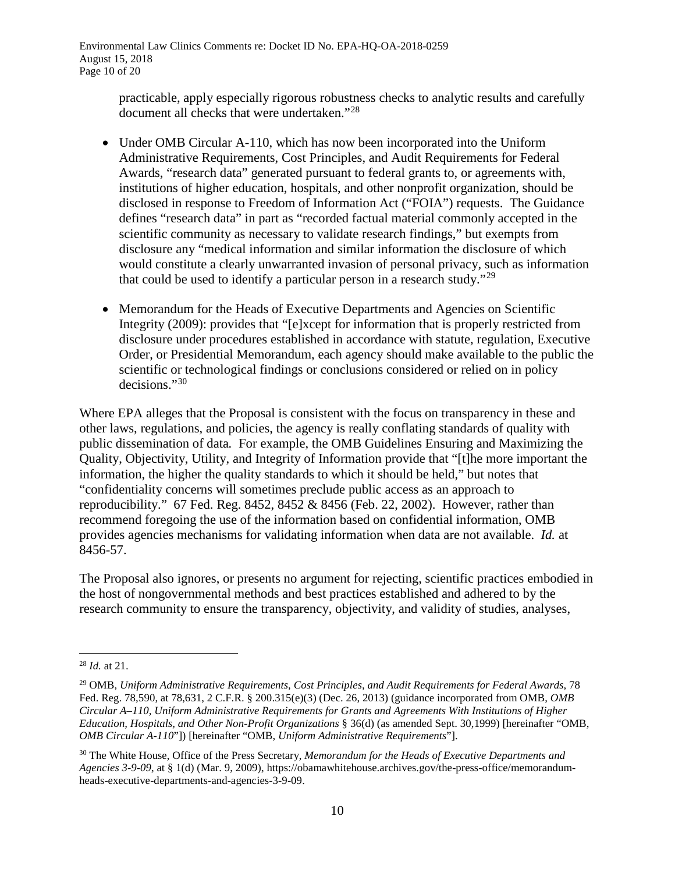Environmental Law Clinics Comments re: Docket ID No. EPA-HQ-OA-2018-0259 August 15, 2018 Page 10 of 20

> practicable, apply especially rigorous robustness checks to analytic results and carefully document all checks that were undertaken."[28](#page-9-0)

- Under OMB Circular A-110, which has now been incorporated into the Uniform Administrative Requirements, Cost Principles, and Audit Requirements for Federal Awards, "research data" generated pursuant to federal grants to, or agreements with, institutions of higher education, hospitals, and other nonprofit organization, should be disclosed in response to Freedom of Information Act ("FOIA") requests. The Guidance defines "research data" in part as "recorded factual material commonly accepted in the scientific community as necessary to validate research findings," but exempts from disclosure any "medical information and similar information the disclosure of which would constitute a clearly unwarranted invasion of personal privacy, such as information that could be used to identify a particular person in a research study."[29](#page-9-1)
- <span id="page-9-3"></span>• Memorandum for the Heads of Executive Departments and Agencies on Scientific Integrity (2009): provides that "[e]xcept for information that is properly restricted from disclosure under procedures established in accordance with statute, regulation, Executive Order, or Presidential Memorandum, each agency should make available to the public the scientific or technological findings or conclusions considered or relied on in policy decisions."[30](#page-9-2)

Where EPA alleges that the Proposal is consistent with the focus on transparency in these and other laws, regulations, and policies, the agency is really conflating standards of quality with public dissemination of data*.* For example, the OMB Guidelines Ensuring and Maximizing the Quality, Objectivity, Utility, and Integrity of Information provide that "[t]he more important the information, the higher the quality standards to which it should be held," but notes that "confidentiality concerns will sometimes preclude public access as an approach to reproducibility." 67 Fed. Reg. 8452, 8452 & 8456 (Feb. 22, 2002). However, rather than recommend foregoing the use of the information based on confidential information, OMB provides agencies mechanisms for validating information when data are not available. *Id.* at 8456-57.

The Proposal also ignores, or presents no argument for rejecting, scientific practices embodied in the host of nongovernmental methods and best practices established and adhered to by the research community to ensure the transparency, objectivity, and validity of studies, analyses,

<span id="page-9-0"></span> <sup>28</sup> *Id.* at 21.

<span id="page-9-1"></span><sup>29</sup> OMB, *Uniform Administrative Requirements, Cost Principles, and Audit Requirements for Federal Awards*, 78 Fed. Reg. 78,590, at 78,631, 2 C.F.R. § 200.315(e)(3) (Dec. 26, 2013) (guidance incorporated from OMB, *OMB Circular A–110, Uniform Administrative Requirements for Grants and Agreements With Institutions of Higher Education, Hospitals, and Other Non-Profit Organizations* § 36(d) (as amended Sept. 30,1999) [hereinafter "OMB, *OMB Circular A-110*"]) [hereinafter "OMB, *Uniform Administrative Requirements*"].

<span id="page-9-2"></span><sup>30</sup> The White House, Office of the Press Secretary, *Memorandum for the Heads of Executive Departments and Agencies 3-9-09*, at § 1(d) (Mar. 9, 2009), https://obamawhitehouse.archives.gov/the-press-office/memorandumheads-executive-departments-and-agencies-3-9-09.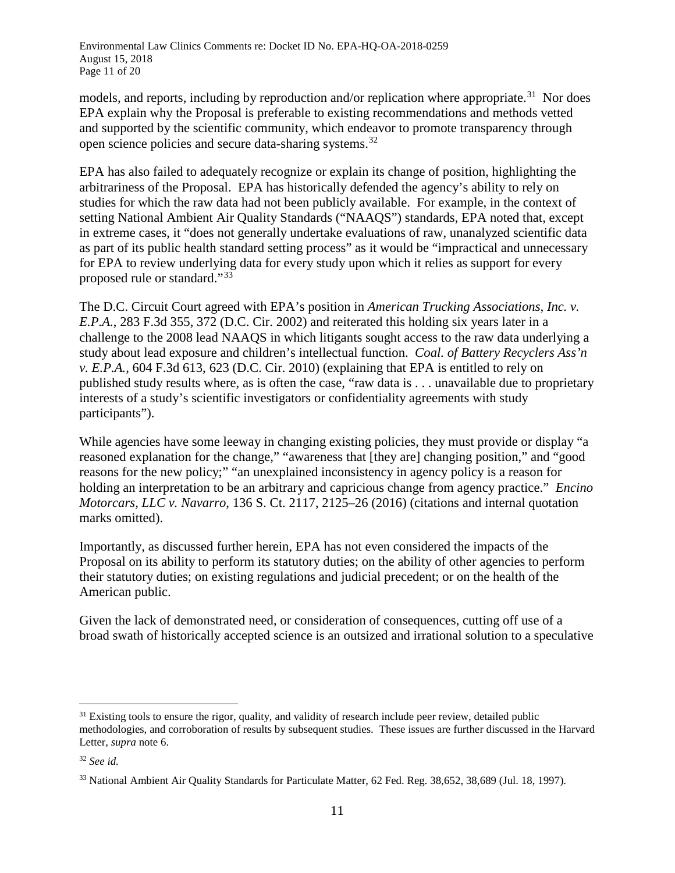models, and reports, including by reproduction and/or replication where appropriate.<sup>[31](#page-10-0)</sup> Nor does EPA explain why the Proposal is preferable to existing recommendations and methods vetted and supported by the scientific community, which endeavor to promote transparency through open science policies and secure data-sharing systems.<sup>[32](#page-10-1)</sup>

EPA has also failed to adequately recognize or explain its change of position, highlighting the arbitrariness of the Proposal. EPA has historically defended the agency's ability to rely on studies for which the raw data had not been publicly available. For example, in the context of setting National Ambient Air Quality Standards ("NAAQS") standards, EPA noted that, except in extreme cases, it "does not generally undertake evaluations of raw, unanalyzed scientific data as part of its public health standard setting process" as it would be "impractical and unnecessary for EPA to review underlying data for every study upon which it relies as support for every proposed rule or standard."[33](#page-10-2)

The D.C. Circuit Court agreed with EPA's position in *American Trucking Associations, Inc. v. E.P.A.*, 283 F.3d 355, 372 (D.C. Cir. 2002) and reiterated this holding six years later in a challenge to the 2008 lead NAAQS in which litigants sought access to the raw data underlying a study about lead exposure and children's intellectual function. *Coal. of Battery Recyclers Ass'n v. E.P.A.,* 604 F.3d 613, 623 (D.C. Cir. 2010) (explaining that EPA is entitled to rely on published study results where, as is often the case, "raw data is . . . unavailable due to proprietary interests of a study's scientific investigators or confidentiality agreements with study participants").

While agencies have some leeway in changing existing policies, they must provide or display "a reasoned explanation for the change," "awareness that [they are] changing position," and "good reasons for the new policy;" "an unexplained inconsistency in agency policy is a reason for holding an interpretation to be an arbitrary and capricious change from agency practice." *Encino Motorcars, LLC v. Navarro*, 136 S. Ct. 2117, 2125–26 (2016) (citations and internal quotation marks omitted).

Importantly, as discussed further herein, EPA has not even considered the impacts of the Proposal on its ability to perform its statutory duties; on the ability of other agencies to perform their statutory duties; on existing regulations and judicial precedent; or on the health of the American public.

Given the lack of demonstrated need, or consideration of consequences, cutting off use of a broad swath of historically accepted science is an outsized and irrational solution to a speculative

<span id="page-10-0"></span> $31$  Existing tools to ensure the rigor, quality, and validity of research include peer review, detailed public methodologies, and corroboration of results by subsequent studies. These issues are further discussed in the Harvard Letter, *supra* note [6.](#page-2-3)

<span id="page-10-1"></span><sup>32</sup> *See id.*

<span id="page-10-2"></span><sup>33</sup> National Ambient Air Quality Standards for Particulate Matter, 62 Fed. Reg. 38,652, 38,689 (Jul. 18, 1997).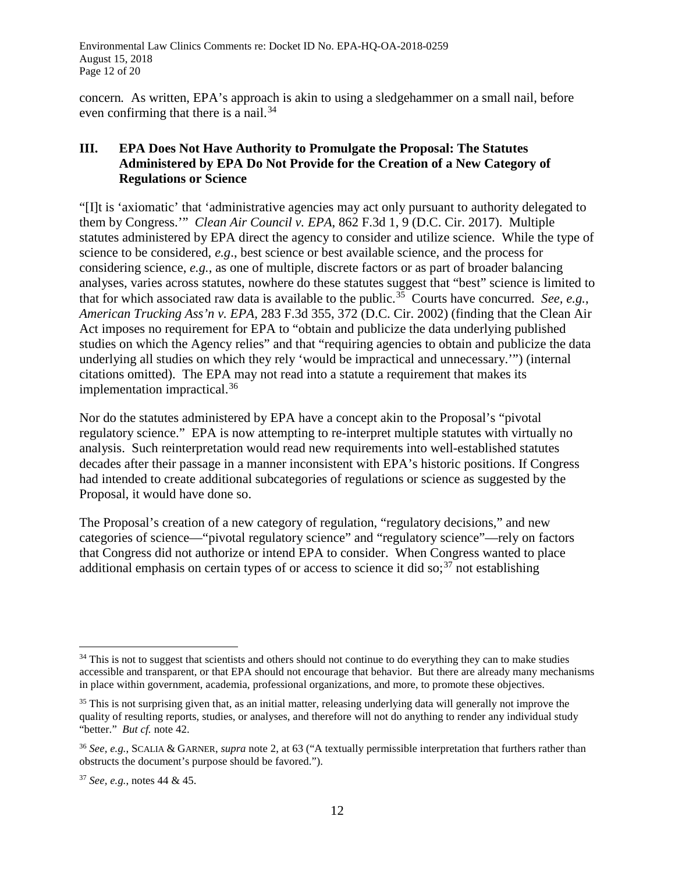concern*.* As written, EPA's approach is akin to using a sledgehammer on a small nail, before even confirming that there is a nail.<sup>[34](#page-11-0)</sup>

## **III. EPA Does Not Have Authority to Promulgate the Proposal: The Statutes Administered by EPA Do Not Provide for the Creation of a New Category of Regulations or Science**

"[I]t is 'axiomatic' that 'administrative agencies may act only pursuant to authority delegated to them by Congress.'" *Clean Air Council v. EPA*, 862 F.3d 1, 9 (D.C. Cir. 2017). Multiple statutes administered by EPA direct the agency to consider and utilize science. While the type of science to be considered, *e.g*., best science or best available science, and the process for considering science, *e.g.*, as one of multiple, discrete factors or as part of broader balancing analyses, varies across statutes, nowhere do these statutes suggest that "best" science is limited to that for which associated raw data is available to the public. [35](#page-11-1) Courts have concurred. *See, e.g.*, *American Trucking Ass'n v. EPA,* 283 F.3d 355, 372 (D.C. Cir. 2002) (finding that the Clean Air Act imposes no requirement for EPA to "obtain and publicize the data underlying published studies on which the Agency relies" and that "requiring agencies to obtain and publicize the data underlying all studies on which they rely 'would be impractical and unnecessary.'") (internal citations omitted). The EPA may not read into a statute a requirement that makes its implementation impractical.[36](#page-11-2)

Nor do the statutes administered by EPA have a concept akin to the Proposal's "pivotal regulatory science." EPA is now attempting to re-interpret multiple statutes with virtually no analysis. Such reinterpretation would read new requirements into well-established statutes decades after their passage in a manner inconsistent with EPA's historic positions. If Congress had intended to create additional subcategories of regulations or science as suggested by the Proposal, it would have done so.

The Proposal's creation of a new category of regulation, "regulatory decisions," and new categories of science—"pivotal regulatory science" and "regulatory science"—rely on factors that Congress did not authorize or intend EPA to consider. When Congress wanted to place additional emphasis on certain types of or access to science it did so;<sup>[37](#page-11-3)</sup> not establishing

<span id="page-11-0"></span><sup>&</sup>lt;sup>34</sup> This is not to suggest that scientists and others should not continue to do everything they can to make studies accessible and transparent, or that EPA should not encourage that behavior. But there are already many mechanisms in place within government, academia, professional organizations, and more, to promote these objectives.

<span id="page-11-1"></span><sup>&</sup>lt;sup>35</sup> This is not surprising given that, as an initial matter, releasing underlying data will generally not improve the quality of resulting reports, studies, or analyses, and therefore will not do anything to render any individual study "better." *But cf.* note [42.](#page-14-0)

<span id="page-11-2"></span><sup>36</sup> *See, e.g.*, SCALIA & GARNER, *supra* note [2,](#page-1-2) at 63 ("A textually permissible interpretation that furthers rather than obstructs the document's purpose should be favored.").

<span id="page-11-3"></span><sup>37</sup> *See, e.g.*, notes 44 & 45.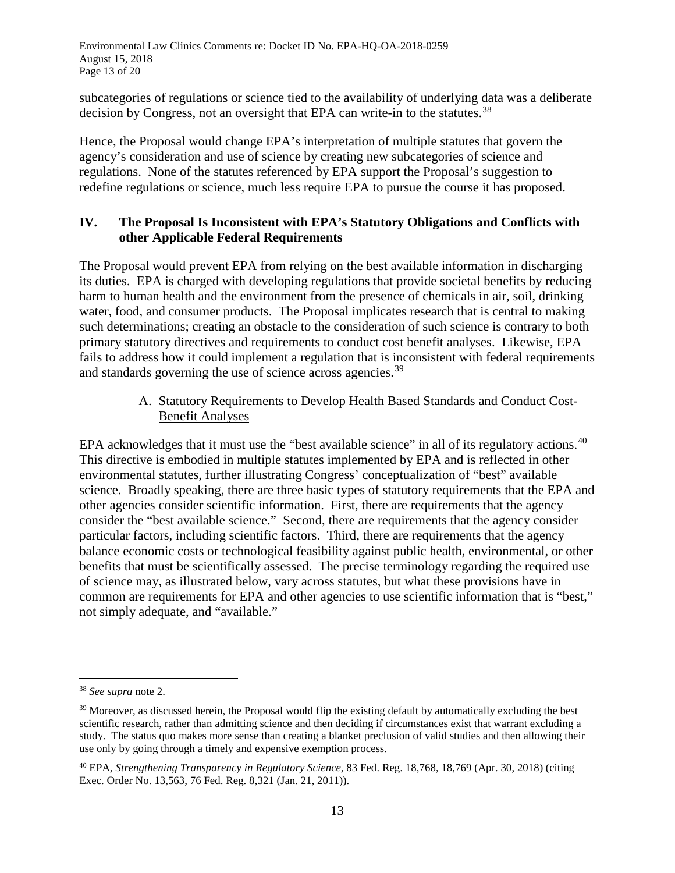Environmental Law Clinics Comments re: Docket ID No. EPA-HQ-OA-2018-0259 August 15, 2018 Page 13 of 20

subcategories of regulations or science tied to the availability of underlying data was a deliberate decision by Congress, not an oversight that EPA can write-in to the statutes.<sup>[38](#page-12-0)</sup>

Hence, the Proposal would change EPA's interpretation of multiple statutes that govern the agency's consideration and use of science by creating new subcategories of science and regulations. None of the statutes referenced by EPA support the Proposal's suggestion to redefine regulations or science, much less require EPA to pursue the course it has proposed.

## **IV. The Proposal Is Inconsistent with EPA's Statutory Obligations and Conflicts with other Applicable Federal Requirements**

The Proposal would prevent EPA from relying on the best available information in discharging its duties. EPA is charged with developing regulations that provide societal benefits by reducing harm to human health and the environment from the presence of chemicals in air, soil, drinking water, food, and consumer products. The Proposal implicates research that is central to making such determinations; creating an obstacle to the consideration of such science is contrary to both primary statutory directives and requirements to conduct cost benefit analyses. Likewise, EPA fails to address how it could implement a regulation that is inconsistent with federal requirements and standards governing the use of science across agencies.<sup>[39](#page-12-1)</sup>

## A. Statutory Requirements to Develop Health Based Standards and Conduct Cost-Benefit Analyses

EPA acknowledges that it must use the "best available science" in all of its regulatory actions.<sup>40</sup> This directive is embodied in multiple statutes implemented by EPA and is reflected in other environmental statutes, further illustrating Congress' conceptualization of "best" available science. Broadly speaking, there are three basic types of statutory requirements that the EPA and other agencies consider scientific information. First, there are requirements that the agency consider the "best available science." Second, there are requirements that the agency consider particular factors, including scientific factors. Third, there are requirements that the agency balance economic costs or technological feasibility against public health, environmental, or other benefits that must be scientifically assessed. The precise terminology regarding the required use of science may, as illustrated below, vary across statutes, but what these provisions have in common are requirements for EPA and other agencies to use scientific information that is "best," not simply adequate, and "available."

<span id="page-12-0"></span> <sup>38</sup> *See supra* note [2.](#page-1-2)

<span id="page-12-1"></span><sup>&</sup>lt;sup>39</sup> Moreover, as discussed herein, the Proposal would flip the existing default by automatically excluding the best scientific research, rather than admitting science and then deciding if circumstances exist that warrant excluding a study. The status quo makes more sense than creating a blanket preclusion of valid studies and then allowing their use only by going through a timely and expensive exemption process.

<span id="page-12-2"></span><sup>40</sup> EPA, *Strengthening Transparency in Regulatory Science*, 83 Fed. Reg. 18,768, 18,769 (Apr. 30, 2018) (citing Exec. Order No. 13,563, 76 Fed. Reg. 8,321 (Jan. 21, 2011)).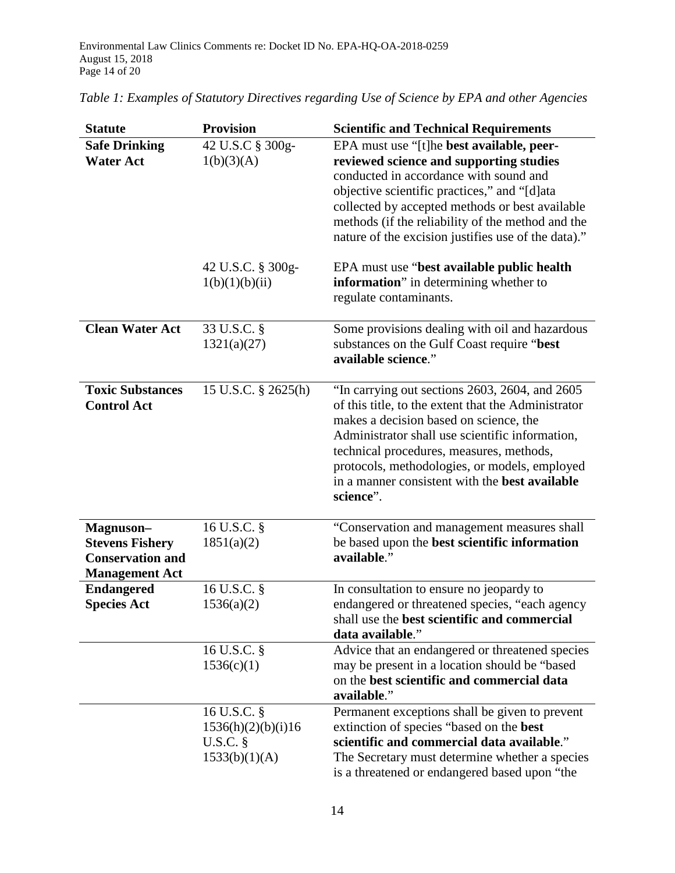| <b>Statute</b>                                                                          | <b>Provision</b>                                                 | <b>Scientific and Technical Requirements</b>                                                                                                                                                                                                                                                                                                                          |
|-----------------------------------------------------------------------------------------|------------------------------------------------------------------|-----------------------------------------------------------------------------------------------------------------------------------------------------------------------------------------------------------------------------------------------------------------------------------------------------------------------------------------------------------------------|
| <b>Safe Drinking</b><br><b>Water Act</b>                                                | 42 U.S.C § 300g-<br>1(b)(3)(A)                                   | EPA must use "[t]he best available, peer-<br>reviewed science and supporting studies<br>conducted in accordance with sound and<br>objective scientific practices," and "[d]ata<br>collected by accepted methods or best available<br>methods (if the reliability of the method and the<br>nature of the excision justifies use of the data)."                         |
|                                                                                         | 42 U.S.C. § 300g-<br>1(b)(1)(b)(ii)                              | EPA must use "best available public health"<br>information" in determining whether to<br>regulate contaminants.                                                                                                                                                                                                                                                       |
| <b>Clean Water Act</b>                                                                  | 33 U.S.C. §<br>1321(a)(27)                                       | Some provisions dealing with oil and hazardous<br>substances on the Gulf Coast require "best<br>available science."                                                                                                                                                                                                                                                   |
| <b>Toxic Substances</b><br><b>Control Act</b>                                           | 15 U.S.C. § 2625(h)                                              | "In carrying out sections 2603, 2604, and 2605<br>of this title, to the extent that the Administrator<br>makes a decision based on science, the<br>Administrator shall use scientific information,<br>technical procedures, measures, methods,<br>protocols, methodologies, or models, employed<br>in a manner consistent with the <b>best available</b><br>science". |
| Magnuson-<br><b>Stevens Fishery</b><br><b>Conservation and</b><br><b>Management Act</b> | 16 U.S.C. §<br>1851(a)(2)                                        | "Conservation and management measures shall<br>be based upon the best scientific information<br>available."                                                                                                                                                                                                                                                           |
| <b>Endangered</b><br><b>Species Act</b>                                                 | 16 U.S.C. §<br>1536(a)(2)                                        | In consultation to ensure no jeopardy to<br>endangered or threatened species, "each agency<br>shall use the best scientific and commercial<br>data available."                                                                                                                                                                                                        |
|                                                                                         | 16 U.S.C. §<br>1536(c)(1)                                        | Advice that an endangered or threatened species<br>may be present in a location should be "based<br>on the best scientific and commercial data<br>available."                                                                                                                                                                                                         |
|                                                                                         | 16 U.S.C. §<br>1536(h)(2)(b)(i)16<br>$U.S.C.$ §<br>1533(b)(1)(A) | Permanent exceptions shall be given to prevent<br>extinction of species "based on the best<br>scientific and commercial data available."<br>The Secretary must determine whether a species<br>is a threatened or endangered based upon "the                                                                                                                           |

|  |  |  |  | Table 1: Examples of Statutory Directives regarding Use of Science by EPA and other Agencies |
|--|--|--|--|----------------------------------------------------------------------------------------------|
|  |  |  |  |                                                                                              |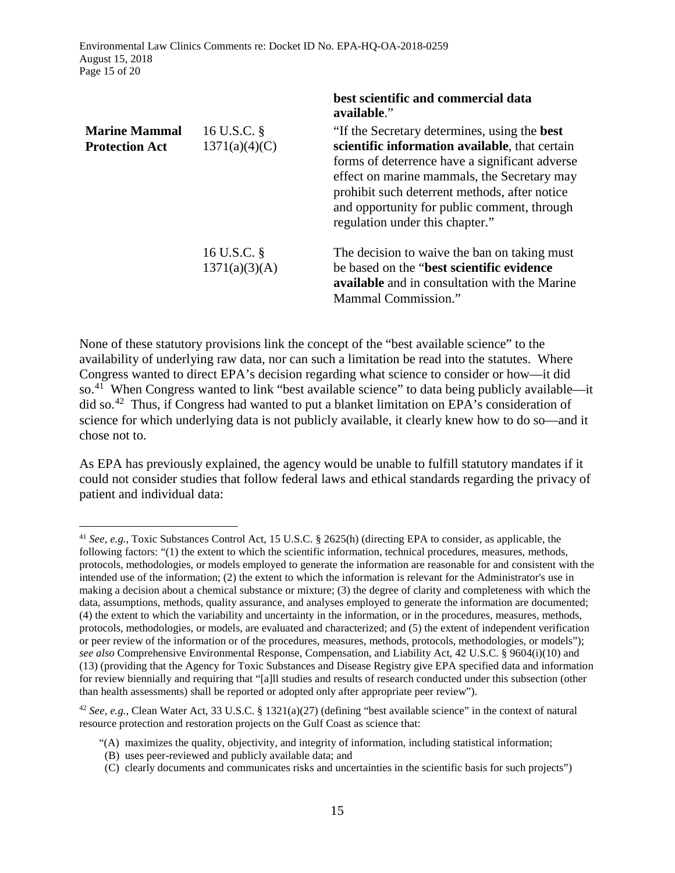Environmental Law Clinics Comments re: Docket ID No. EPA-HQ-OA-2018-0259 August 15, 2018 Page 15 of 20

|                                               |                                 | best scientine and commencient aata<br>available."                                                                                                                                                                                                                                                                                        |
|-----------------------------------------------|---------------------------------|-------------------------------------------------------------------------------------------------------------------------------------------------------------------------------------------------------------------------------------------------------------------------------------------------------------------------------------------|
| <b>Marine Mammal</b><br><b>Protection Act</b> | 16 U.S.C. §<br>1371(a)(4)(C)    | "If the Secretary determines, using the <b>best</b><br>scientific information available, that certain<br>forms of deterrence have a significant adverse<br>effect on marine mammals, the Secretary may<br>prohibit such deterrent methods, after notice<br>and opportunity for public comment, through<br>regulation under this chapter." |
|                                               | 16 U.S.C. $\S$<br>1371(a)(3)(A) | The decision to waive the ban on taking must<br>be based on the "best scientific evidence"<br><b>available</b> and in consultation with the Marine<br>Mammal Commission."                                                                                                                                                                 |

**best scientific and commercial data** 

<span id="page-14-3"></span><span id="page-14-0"></span>None of these statutory provisions link the concept of the "best available science" to the availability of underlying raw data, nor can such a limitation be read into the statutes. Where Congress wanted to direct EPA's decision regarding what science to consider or how—it did so.<sup>[41](#page-14-1)</sup> When Congress wanted to link "best available science" to data being publicly available—it did so.<sup>42</sup> Thus, if Congress had wanted to put a blanket limitation on EPA's consideration of science for which underlying data is not publicly available, it clearly knew how to do so—and it chose not to.

As EPA has previously explained, the agency would be unable to fulfill statutory mandates if it could not consider studies that follow federal laws and ethical standards regarding the privacy of patient and individual data:

<span id="page-14-1"></span> <sup>41</sup> *See, e.g.,* Toxic Substances Control Act, 15 U.S.C. § 2625(h) (directing EPA to consider, as applicable, the following factors: "(1) the extent to which the scientific information, technical procedures, measures, methods, protocols, methodologies, or models employed to generate the information are reasonable for and consistent with the intended use of the information; (2) the extent to which the information is relevant for the Administrator's use in making a decision about a chemical substance or mixture; (3) the degree of clarity and completeness with which the data, assumptions, methods, quality assurance, and analyses employed to generate the information are documented; (4) the extent to which the variability and uncertainty in the information, or in the procedures, measures, methods, protocols, methodologies, or models, are evaluated and characterized; and (5) the extent of independent verification or peer review of the information or of the procedures, measures, methods, protocols, methodologies, or models"); *see also* Comprehensive Environmental Response, Compensation, and Liability Act, 42 U.S.C. § 9604(i)(10) and (13) (providing that the Agency for Toxic Substances and Disease Registry give EPA specified data and information for review biennially and requiring that "[a]ll studies and results of research conducted under this subsection (other than health assessments) shall be reported or adopted only after appropriate peer review").

<span id="page-14-2"></span><sup>42</sup> *See, e.g.,* Clean Water Act, 33 U.S.C. § 1321(a)(27) (defining "best available science" in the context of natural resource protection and restoration projects on the Gulf Coast as science that:

<sup>&</sup>quot;(A) maximizes the quality, objectivity, and integrity of information, including statistical information;

 <sup>(</sup>B) uses peer-reviewed and publicly available data; and

 <sup>(</sup>C) clearly documents and communicates risks and uncertainties in the scientific basis for such projects")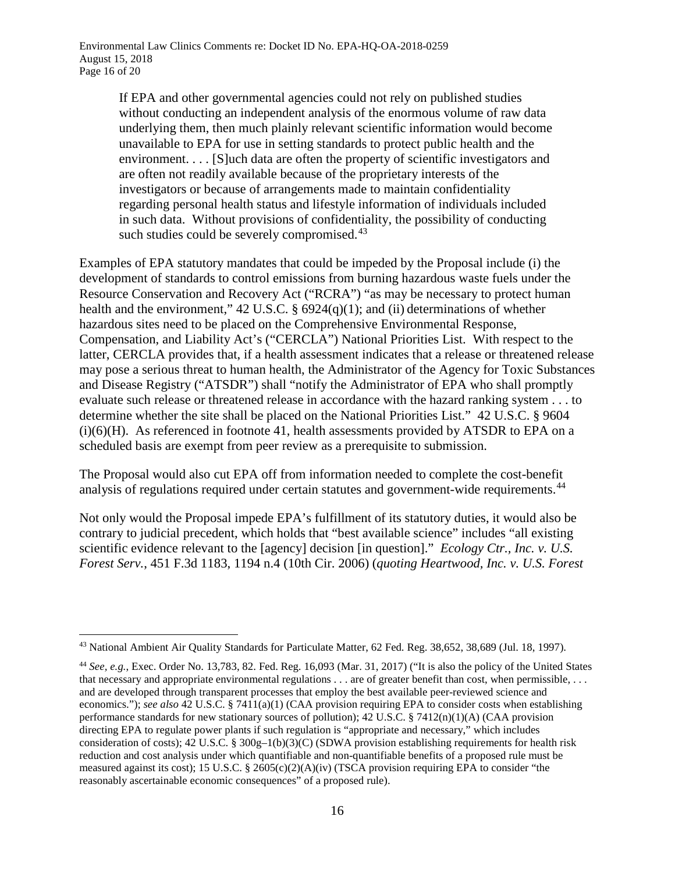If EPA and other governmental agencies could not rely on published studies without conducting an independent analysis of the enormous volume of raw data underlying them, then much plainly relevant scientific information would become unavailable to EPA for use in setting standards to protect public health and the environment. . . . [S]uch data are often the property of scientific investigators and are often not readily available because of the proprietary interests of the investigators or because of arrangements made to maintain confidentiality regarding personal health status and lifestyle information of individuals included in such data. Without provisions of confidentiality, the possibility of conducting such studies could be severely compromised. $43$ 

Examples of EPA statutory mandates that could be impeded by the Proposal include (i) the development of standards to control emissions from burning hazardous waste fuels under the Resource Conservation and Recovery Act ("RCRA") "as may be necessary to protect human health and the environment,"  $42 \text{ U.S.C. }$  §  $6924(q)(1)$ ; and (ii) determinations of whether hazardous sites need to be placed on the Comprehensive Environmental Response, Compensation, and Liability Act's ("CERCLA") National Priorities List. With respect to the latter, CERCLA provides that, if a health assessment indicates that a release or threatened release may pose a serious threat to human health, the Administrator of the Agency for Toxic Substances and Disease Registry ("ATSDR") shall "notify the Administrator of EPA who shall promptly evaluate such release or threatened release in accordance with the hazard ranking system . . . to determine whether the site shall be placed on the National Priorities List." 42 U.S.C. § 9604  $(i)(6)(H)$ . As referenced in footnote [41,](#page-14-3) health assessments provided by ATSDR to EPA on a scheduled basis are exempt from peer review as a prerequisite to submission.

The Proposal would also cut EPA off from information needed to complete the cost-benefit analysis of regulations required under certain statutes and government-wide requirements.<sup>[44](#page-15-1)</sup>

Not only would the Proposal impede EPA's fulfillment of its statutory duties, it would also be contrary to judicial precedent, which holds that "best available science" includes "all existing scientific evidence relevant to the [agency] decision [in question]." *Ecology Ctr., Inc. v. U.S. Forest Serv.*, 451 F.3d 1183, 1194 n.4 (10th Cir. 2006) (*quoting Heartwood, Inc. v. U.S. Forest* 

<span id="page-15-0"></span> <sup>43</sup> National Ambient Air Quality Standards for Particulate Matter, 62 Fed. Reg. 38,652, 38,689 (Jul. 18, 1997).

<span id="page-15-1"></span><sup>44</sup> *See, e.g.*, Exec. Order No. 13,783, 82. Fed. Reg. 16,093 (Mar. 31, 2017) ("It is also the policy of the United States that necessary and appropriate environmental regulations . . . are of greater benefit than cost, when permissible, . . . and are developed through transparent processes that employ the best available peer-reviewed science and economics."); *see also* 42 U.S.C. § 7411(a)(1) (CAA provision requiring EPA to consider costs when establishing performance standards for new stationary sources of pollution);  $42 \text{ U.S.C.}$  §  $7412(n)(1)(\text{A})$  (CAA provision directing EPA to regulate power plants if such regulation is "appropriate and necessary," which includes consideration of costs);  $42 \text{ U.S.C.}$  §  $300g-1(b)(3)(C)$  (SDWA provision establishing requirements for health risk reduction and cost analysis under which quantifiable and non-quantifiable benefits of a proposed rule must be measured against its cost); 15 U.S.C. § 2605(c)(2)(A)(iv) (TSCA provision requiring EPA to consider "the reasonably ascertainable economic consequences" of a proposed rule).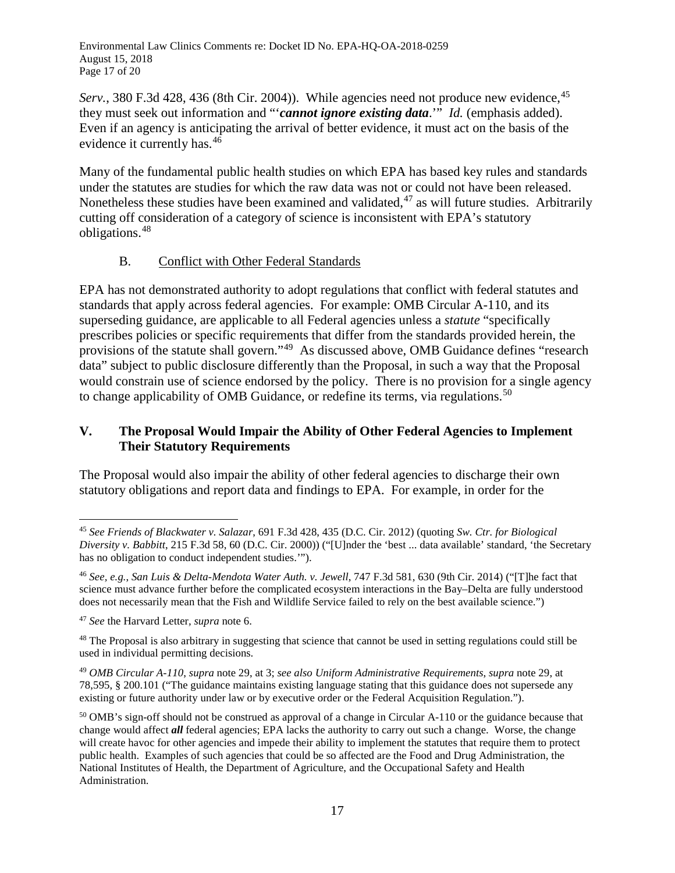Environmental Law Clinics Comments re: Docket ID No. EPA-HQ-OA-2018-0259 August 15, 2018 Page 17 of 20

*Serv.*, 380 F.3d 428, 436 (8th Cir. 2004)). While agencies need not produce new evidence, <sup>[45](#page-16-0)</sup> they must seek out information and "'*cannot ignore existing data*.'" *Id.* (emphasis added). Even if an agency is anticipating the arrival of better evidence, it must act on the basis of the evidence it currently has.[46](#page-16-1)

Many of the fundamental public health studies on which EPA has based key rules and standards under the statutes are studies for which the raw data was not or could not have been released. Nonetheless these studies have been examined and validated,  $47$  as will future studies. Arbitrarily cutting off consideration of a category of science is inconsistent with EPA's statutory obligations.[48](#page-16-3)

# B. Conflict with Other Federal Standards

EPA has not demonstrated authority to adopt regulations that conflict with federal statutes and standards that apply across federal agencies. For example: OMB Circular A-110, and its superseding guidance, are applicable to all Federal agencies unless a *statute* "specifically prescribes policies or specific requirements that differ from the standards provided herein, the provisions of the statute shall govern."[49](#page-16-4) As discussed above, OMB Guidance defines "research data" subject to public disclosure differently than the Proposal, in such a way that the Proposal would constrain use of science endorsed by the policy. There is no provision for a single agency to change applicability of OMB Guidance, or redefine its terms, via regulations.<sup>[50](#page-16-5)</sup>

# **V. The Proposal Would Impair the Ability of Other Federal Agencies to Implement Their Statutory Requirements**

The Proposal would also impair the ability of other federal agencies to discharge their own statutory obligations and report data and findings to EPA. For example, in order for the

<span id="page-16-0"></span> <sup>45</sup> *See Friends of Blackwater v. Salazar*, 691 F.3d 428, 435 (D.C. Cir. 2012) (quoting *Sw. Ctr. for Biological Diversity v. Babbitt*, 215 F.3d 58, 60 (D.C. Cir. 2000)) ("[U]nder the 'best ... data available' standard, 'the Secretary has no obligation to conduct independent studies.'").

<span id="page-16-1"></span><sup>46</sup> *See, e.g.*, *San Luis & Delta-Mendota Water Auth. v. Jewell*, 747 F.3d 581, 630 (9th Cir. 2014) ("[T]he fact that science must advance further before the complicated ecosystem interactions in the Bay–Delta are fully understood does not necessarily mean that the Fish and Wildlife Service failed to rely on the best available science.")

<span id="page-16-2"></span><sup>47</sup> *See* the Harvard Letter*, supra* note [6.](#page-2-3)

<span id="page-16-3"></span> $48$  The Proposal is also arbitrary in suggesting that science that cannot be used in setting regulations could still be used in individual permitting decisions.

<span id="page-16-4"></span><sup>49</sup> *OMB Circular A-110*, *supra* note [29,](#page-9-3) at 3; *see also Uniform Administrative Requirements*, *supra* not[e 29,](#page-9-3) at 78,595, § 200.101 ("The guidance maintains existing language stating that this guidance does not supersede any existing or future authority under law or by executive order or the Federal Acquisition Regulation.").

<span id="page-16-5"></span><sup>&</sup>lt;sup>50</sup> OMB's sign-off should not be construed as approval of a change in Circular A-110 or the guidance because that change would affect *all* federal agencies; EPA lacks the authority to carry out such a change. Worse, the change will create havoc for other agencies and impede their ability to implement the statutes that require them to protect public health. Examples of such agencies that could be so affected are the Food and Drug Administration, the National Institutes of Health, the Department of Agriculture, and the Occupational Safety and Health Administration.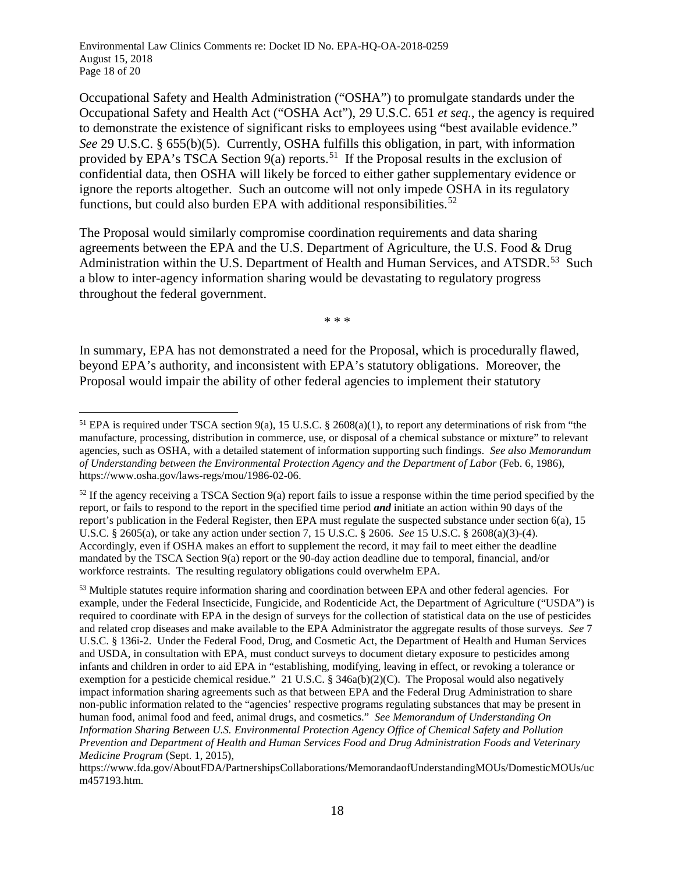Environmental Law Clinics Comments re: Docket ID No. EPA-HQ-OA-2018-0259 August 15, 2018 Page 18 of 20

Occupational Safety and Health Administration ("OSHA") to promulgate standards under the Occupational Safety and Health Act ("OSHA Act"), 29 U.S.C. 651 *et seq.*, the agency is required to demonstrate the existence of significant risks to employees using "best available evidence." *See* 29 U.S.C. § 655(b)(5). Currently, OSHA fulfills this obligation, in part, with information provided by EPA's TSCA Section  $9(a)$  reports.<sup>[51](#page-17-0)</sup> If the Proposal results in the exclusion of confidential data, then OSHA will likely be forced to either gather supplementary evidence or ignore the reports altogether. Such an outcome will not only impede OSHA in its regulatory functions, but could also burden EPA with additional responsibilities.<sup>[52](#page-17-1)</sup>

The Proposal would similarly compromise coordination requirements and data sharing agreements between the EPA and the U.S. Department of Agriculture, the U.S. Food & Drug Administration within the U.S. Department of Health and Human Services, and ATSDR.<sup>[53](#page-17-2)</sup> Such a blow to inter-agency information sharing would be devastating to regulatory progress throughout the federal government.

\* \* \*

In summary, EPA has not demonstrated a need for the Proposal, which is procedurally flawed, beyond EPA's authority, and inconsistent with EPA's statutory obligations. Moreover, the Proposal would impair the ability of other federal agencies to implement their statutory

<span id="page-17-0"></span> <sup>51</sup> EPA is required under TSCA section 9(a), 15 U.S.C. § 2608(a)(1), to report any determinations of risk from "the manufacture, processing, distribution in commerce, use, or disposal of a chemical substance or mixture" to relevant agencies, such as OSHA, with a detailed statement of information supporting such findings. *See also Memorandum of Understanding between the Environmental Protection Agency and the Department of Labor* (Feb. 6, 1986), https://www.osha.gov/laws-regs/mou/1986-02-06.

<span id="page-17-1"></span> $52$  If the agency receiving a TSCA Section 9(a) report fails to issue a response within the time period specified by the report, or fails to respond to the report in the specified time period *and* initiate an action within 90 days of the report's publication in the Federal Register, then EPA must regulate the suspected substance under section 6(a), 15 U.S.C. § 2605(a), or take any action under section 7, 15 U.S.C. § 2606. *See* 15 U.S.C. § 2608(a)(3)-(4). Accordingly, even if OSHA makes an effort to supplement the record, it may fail to meet either the deadline mandated by the TSCA Section 9(a) report or the 90-day action deadline due to temporal, financial, and/or workforce restraints. The resulting regulatory obligations could overwhelm EPA.

<span id="page-17-2"></span><sup>53</sup> Multiple statutes require information sharing and coordination between EPA and other federal agencies. For example, under the Federal Insecticide, Fungicide, and Rodenticide Act, the Department of Agriculture ("USDA") is required to coordinate with EPA in the design of surveys for the collection of statistical data on the use of pesticides and related crop diseases and make available to the EPA Administrator the aggregate results of those surveys. *See* 7 U.S.C. § 136i-2. Under the Federal Food, Drug, and Cosmetic Act, the Department of Health and Human Services and USDA, in consultation with EPA, must conduct surveys to document dietary exposure to pesticides among infants and children in order to aid EPA in "establishing, modifying, leaving in effect, or revoking a tolerance or exemption for a pesticide chemical residue." 21 U.S.C. § 346a(b)(2)(C). The Proposal would also negatively impact information sharing agreements such as that between EPA and the Federal Drug Administration to share non-public information related to the "agencies' respective programs regulating substances that may be present in human food, animal food and feed, animal drugs, and cosmetics." *See Memorandum of Understanding On Information Sharing Between U.S. Environmental Protection Agency Office of Chemical Safety and Pollution Prevention and Department of Health and Human Services Food and Drug Administration Foods and Veterinary Medicine Program* (Sept. 1, 2015),

https://www.fda.gov/AboutFDA/PartnershipsCollaborations/MemorandaofUnderstandingMOUs/DomesticMOUs/uc m457193.htm.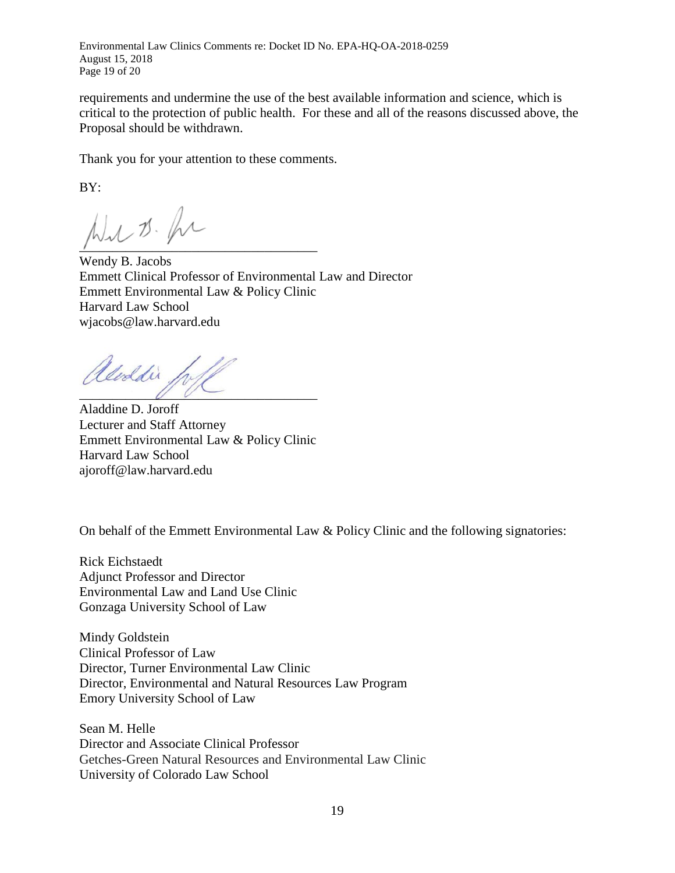Environmental Law Clinics Comments re: Docket ID No. EPA-HQ-OA-2018-0259 August 15, 2018 Page 19 of 20

requirements and undermine the use of the best available information and science, which is critical to the protection of public health. For these and all of the reasons discussed above, the Proposal should be withdrawn.

Thank you for your attention to these comments.

BY:

 $\mathcal{N}_1, \mathcal{D}_2, \mathcal{N}_3$ 

Wendy B. Jacobs Emmett Clinical Professor of Environmental Law and Director Emmett Environmental Law & Policy Clinic Harvard Law School wjacobs@law.harvard.edu

Ueddin,  $UU$ 

Aladdine D. Joroff Lecturer and Staff Attorney Emmett Environmental Law & Policy Clinic Harvard Law School ajoroff@law.harvard.edu

On behalf of the Emmett Environmental Law & Policy Clinic and the following signatories:

Rick Eichstaedt Adjunct Professor and Director Environmental Law and Land Use Clinic Gonzaga University School of Law

Mindy Goldstein Clinical Professor of Law Director, Turner Environmental Law Clinic Director, Environmental and Natural Resources Law Program Emory University School of Law

Sean M. Helle Director and Associate Clinical Professor Getches-Green Natural Resources and Environmental Law Clinic University of Colorado Law School